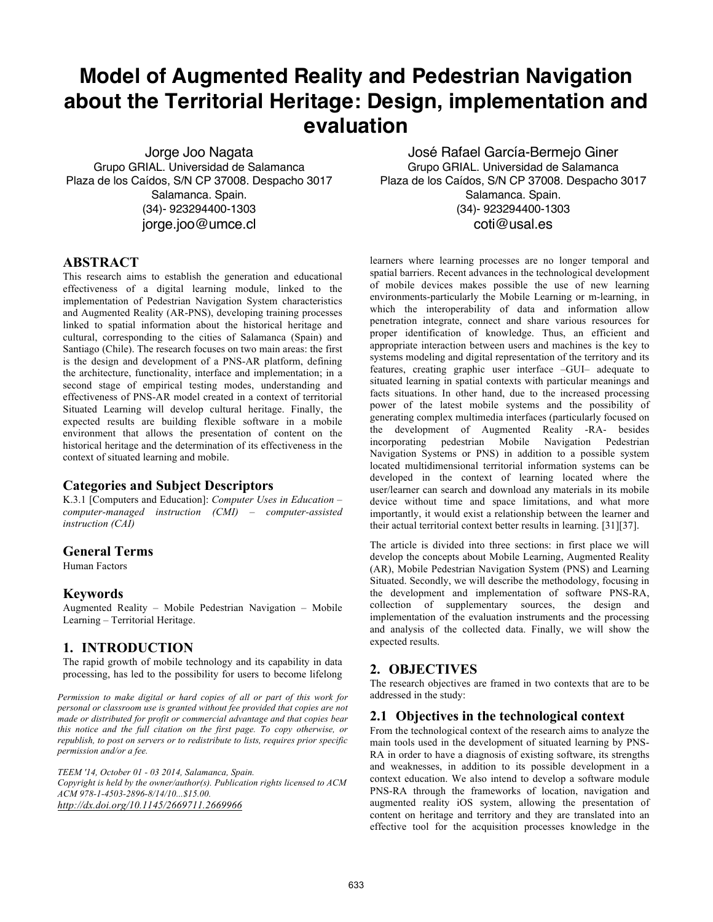# **Model of Augmented Reality and Pedestrian Navigation about the Territorial Heritage: Design, implementation and evaluation**

Jorge Joo Nagata Grupo GRIAL. Universidad de Salamanca Plaza de los Caídos, S/N CP 37008. Despacho 3017 Salamanca. Spain. (34)- 923294400-1303 jorge.joo@umce.cl

## **ABSTRACT**

This research aims to establish the generation and educational effectiveness of a digital learning module, linked to the implementation of Pedestrian Navigation System characteristics and Augmented Reality (AR-PNS), developing training processes linked to spatial information about the historical heritage and cultural, corresponding to the cities of Salamanca (Spain) and Santiago (Chile). The research focuses on two main areas: the first is the design and development of a PNS-AR platform, defining the architecture, functionality, interface and implementation; in a second stage of empirical testing modes, understanding and effectiveness of PNS-AR model created in a context of territorial Situated Learning will develop cultural heritage. Finally, the expected results are building flexible software in a mobile environment that allows the presentation of content on the historical heritage and the determination of its effectiveness in the context of situated learning and mobile.

#### **Categories and Subject Descriptors**

K.3.1 [Computers and Education]: *Computer Uses in Education – computer-managed instruction (CMI) – computer-assisted instruction (CAI)*

#### **General Terms**

Human Factors

#### **Keywords**

Augmented Reality – Mobile Pedestrian Navigation – Mobile Learning – Territorial Heritage.

## **1. INTRODUCTION**

The rapid growth of mobile technology and its capability in data processing, has led to the possibility for users to become lifelong

*Permission to make digital or hard copies of all or part of this work for personal or classroom use is granted without fee provided that copies are not made or distributed for profit or commercial advantage and that copies bear this notice and the full citation on the first page. To copy otherwise, or republish, to post on servers or to redistribute to lists, requires prior specific permission and/or a fee.*

*TEEM '14, October 01 - 03 2014, Salamanca, Spain. Copyright is held by the owner/author(s). Publication rights licensed to ACM ACM 978-1-4503-2896-8/14/10...\$15.00. http://dx.doi.org/10.1145/2669711.2669966*

José Rafael García-Bermejo Giner Grupo GRIAL. Universidad de Salamanca Plaza de los Caídos, S/N CP 37008. Despacho 3017 Salamanca. Spain. (34)- 923294400-1303 coti@usal.es

learners where learning processes are no longer temporal and spatial barriers. Recent advances in the technological development of mobile devices makes possible the use of new learning environments-particularly the Mobile Learning or m-learning, in which the interoperability of data and information allow penetration integrate, connect and share various resources for proper identification of knowledge. Thus, an efficient and appropriate interaction between users and machines is the key to systems modeling and digital representation of the territory and its features, creating graphic user interface –GUI– adequate to situated learning in spatial contexts with particular meanings and facts situations. In other hand, due to the increased processing power of the latest mobile systems and the possibility of generating complex multimedia interfaces (particularly focused on the development of Augmented Reality -RA- besides incorporating pedestrian Mobile Navigation Pedestrian Navigation Systems or PNS) in addition to a possible system located multidimensional territorial information systems can be developed in the context of learning located where the user/learner can search and download any materials in its mobile device without time and space limitations, and what more importantly, it would exist a relationship between the learner and their actual territorial context better results in learning. [31][37].

The article is divided into three sections: in first place we will develop the concepts about Mobile Learning, Augmented Reality (AR), Mobile Pedestrian Navigation System (PNS) and Learning Situated. Secondly, we will describe the methodology, focusing in the development and implementation of software PNS-RA, collection of supplementary sources, the design and implementation of the evaluation instruments and the processing and analysis of the collected data. Finally, we will show the expected results.

## **2. OBJECTIVES**

The research objectives are framed in two contexts that are to be addressed in the study:

## **2.1 Objectives in the technological context**

From the technological context of the research aims to analyze the main tools used in the development of situated learning by PNS-RA in order to have a diagnosis of existing software, its strengths and weaknesses, in addition to its possible development in a context education. We also intend to develop a software module PNS-RA through the frameworks of location, navigation and augmented reality iOS system, allowing the presentation of content on heritage and territory and they are translated into an effective tool for the acquisition processes knowledge in the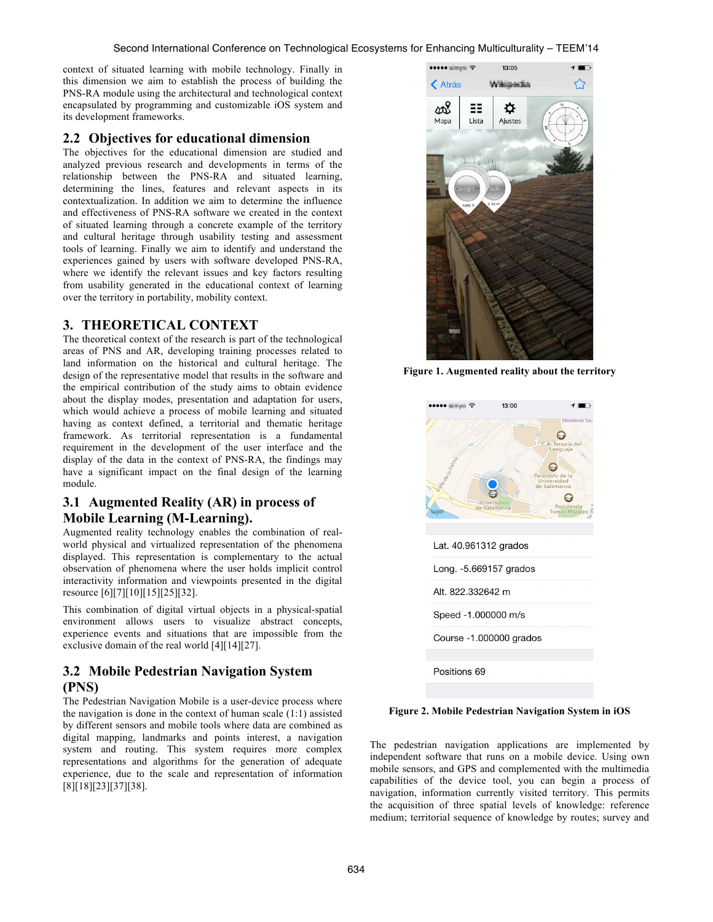context of situated learning with mobile technology. Finally in this dimension we aim to establish the process of building the PNS-RA module using the architectural and technological context encapsulated by programming and customizable iOS system and its development frameworks.

#### **2.2 Objectives for educational dimension**

The objectives for the educational dimension are studied and analyzed previous research and developments in terms of the relationship between the PNS-RA and situated learning, determining the lines, features and relevant aspects in its contextualization. In addition we aim to determine the influence and effectiveness of PNS-RA software we created in the context of situated learning through a concrete example of the territory and cultural heritage through usability testing and assessment tools of learning. Finally we aim to identify and understand the experiences gained by users with software developed PNS-RA, where we identify the relevant issues and key factors resulting from usability generated in the educational context of learning over the territory in portability, mobility context.

## **3. THEORETICAL CONTEXT**

The theoretical context of the research is part of the technological areas of PNS and AR, developing training processes related to land information on the historical and cultural heritage. The design of the representative model that results in the software and the empirical contribution of the study aims to obtain evidence about the display modes, presentation and adaptation for users, which would achieve a process of mobile learning and situated having as context defined, a territorial and thematic heritage framework. As territorial representation is a fundamental requirement in the development of the user interface and the display of the data in the context of PNS-RA, the findings may have a significant impact on the final design of the learning module.

# **3.1 Augmented Reality (AR) in process of Mobile Learning (M-Learning).**

Augmented reality technology enables the combination of realworld physical and virtualized representation of the phenomena displayed. This representation is complementary to the actual observation of phenomena where the user holds implicit control interactivity information and viewpoints presented in the digital resource [6][7][10][15][25][32].

This combination of digital virtual objects in a physical-spatial environment allows users to visualize abstract concepts, experience events and situations that are impossible from the exclusive domain of the real world [4][14][27].

## **3.2 Mobile Pedestrian Navigation System (PNS)**

The Pedestrian Navigation Mobile is a user-device process where the navigation is done in the context of human scale (1:1) assisted by different sensors and mobile tools where data are combined as digital mapping, landmarks and points interest, a navigation system and routing. This system requires more complex representations and algorithms for the generation of adequate experience, due to the scale and representation of information [8][18][23][37][38].



**Figure 1. Augmented reality about the territory**



#### **Figure 2. Mobile Pedestrian Navigation System in iOS**

The pedestrian navigation applications are implemented by independent software that runs on a mobile device. Using own mobile sensors, and GPS and complemented with the multimedia capabilities of the device tool, you can begin a process of navigation, information currently visited territory. This permits the acquisition of three spatial levels of knowledge: reference medium; territorial sequence of knowledge by routes; survey and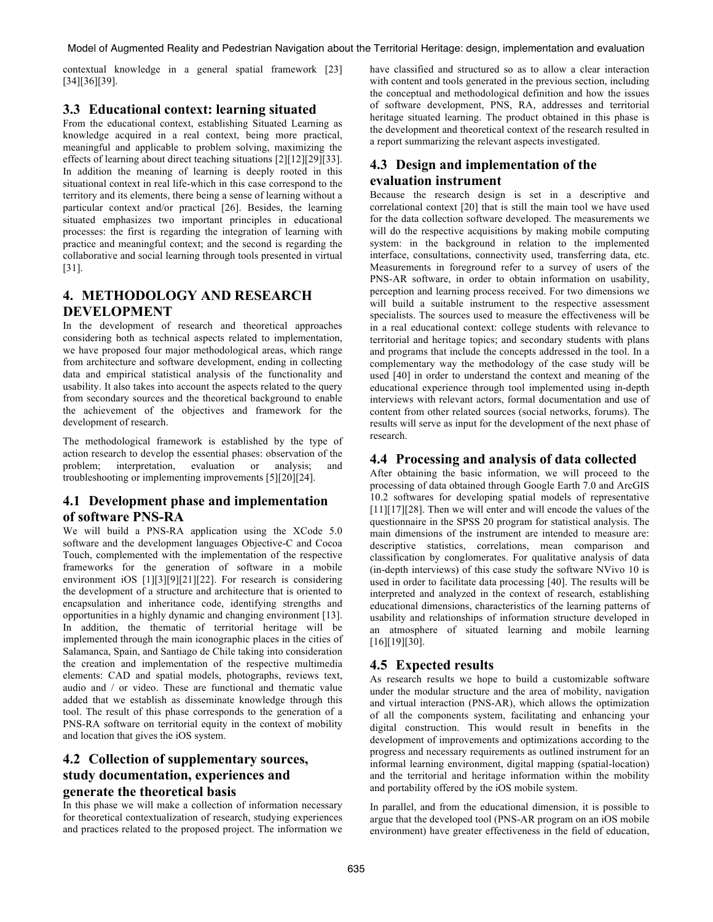contextual knowledge in a general spatial framework [23] [34][36][39].

#### **3.3 Educational context: learning situated**

From the educational context, establishing Situated Learning as knowledge acquired in a real context, being more practical, meaningful and applicable to problem solving, maximizing the effects of learning about direct teaching situations [2][12][29][33]. In addition the meaning of learning is deeply rooted in this situational context in real life-which in this case correspond to the territory and its elements, there being a sense of learning without a particular context and/or practical [26]. Besides, the learning situated emphasizes two important principles in educational processes: the first is regarding the integration of learning with practice and meaningful context; and the second is regarding the collaborative and social learning through tools presented in virtual [31].

# **4. METHODOLOGY AND RESEARCH DEVELOPMENT**

In the development of research and theoretical approaches considering both as technical aspects related to implementation, we have proposed four major methodological areas, which range from architecture and software development, ending in collecting data and empirical statistical analysis of the functionality and usability. It also takes into account the aspects related to the query from secondary sources and the theoretical background to enable the achievement of the objectives and framework for the development of research.

The methodological framework is established by the type of action research to develop the essential phases: observation of the problem; interpretation, evaluation or analysis; and troubleshooting or implementing improvements [5][20][24].

## **4.1 Development phase and implementation of software PNS-RA**

We will build a PNS-RA application using the XCode 5.0 software and the development languages Objective-C and Cocoa Touch, complemented with the implementation of the respective frameworks for the generation of software in a mobile environment iOS [1][3][9][21][22]. For research is considering the development of a structure and architecture that is oriented to encapsulation and inheritance code, identifying strengths and opportunities in a highly dynamic and changing environment [13]. In addition, the thematic of territorial heritage will be implemented through the main iconographic places in the cities of Salamanca, Spain, and Santiago de Chile taking into consideration the creation and implementation of the respective multimedia elements: CAD and spatial models, photographs, reviews text, audio and / or video. These are functional and thematic value added that we establish as disseminate knowledge through this tool. The result of this phase corresponds to the generation of a PNS-RA software on territorial equity in the context of mobility and location that gives the iOS system.

## **4.2 Collection of supplementary sources, study documentation, experiences and generate the theoretical basis**

In this phase we will make a collection of information necessary for theoretical contextualization of research, studying experiences and practices related to the proposed project. The information we have classified and structured so as to allow a clear interaction with content and tools generated in the previous section, including the conceptual and methodological definition and how the issues of software development, PNS, RA, addresses and territorial heritage situated learning. The product obtained in this phase is the development and theoretical context of the research resulted in a report summarizing the relevant aspects investigated.

## **4.3 Design and implementation of the evaluation instrument**

Because the research design is set in a descriptive and correlational context [20] that is still the main tool we have used for the data collection software developed. The measurements we will do the respective acquisitions by making mobile computing system: in the background in relation to the implemented interface, consultations, connectivity used, transferring data, etc. Measurements in foreground refer to a survey of users of the PNS-AR software, in order to obtain information on usability, perception and learning process received. For two dimensions we will build a suitable instrument to the respective assessment specialists. The sources used to measure the effectiveness will be in a real educational context: college students with relevance to territorial and heritage topics; and secondary students with plans and programs that include the concepts addressed in the tool. In a complementary way the methodology of the case study will be used [40] in order to understand the context and meaning of the educational experience through tool implemented using in-depth interviews with relevant actors, formal documentation and use of content from other related sources (social networks, forums). The results will serve as input for the development of the next phase of research.

## **4.4 Processing and analysis of data collected**

After obtaining the basic information, we will proceed to the processing of data obtained through Google Earth 7.0 and ArcGIS 10.2 softwares for developing spatial models of representative [11][17][28]. Then we will enter and will encode the values of the questionnaire in the SPSS 20 program for statistical analysis. The main dimensions of the instrument are intended to measure are: descriptive statistics, correlations, mean comparison and classification by conglomerates. For qualitative analysis of data (in-depth interviews) of this case study the software NVivo 10 is used in order to facilitate data processing [40]. The results will be interpreted and analyzed in the context of research, establishing educational dimensions, characteristics of the learning patterns of usability and relationships of information structure developed in an atmosphere of situated learning and mobile learning [16][19][30].

## **4.5 Expected results**

As research results we hope to build a customizable software under the modular structure and the area of mobility, navigation and virtual interaction (PNS-AR), which allows the optimization of all the components system, facilitating and enhancing your digital construction. This would result in benefits in the development of improvements and optimizations according to the progress and necessary requirements as outlined instrument for an informal learning environment, digital mapping (spatial-location) and the territorial and heritage information within the mobility and portability offered by the iOS mobile system.

In parallel, and from the educational dimension, it is possible to argue that the developed tool (PNS-AR program on an iOS mobile environment) have greater effectiveness in the field of education,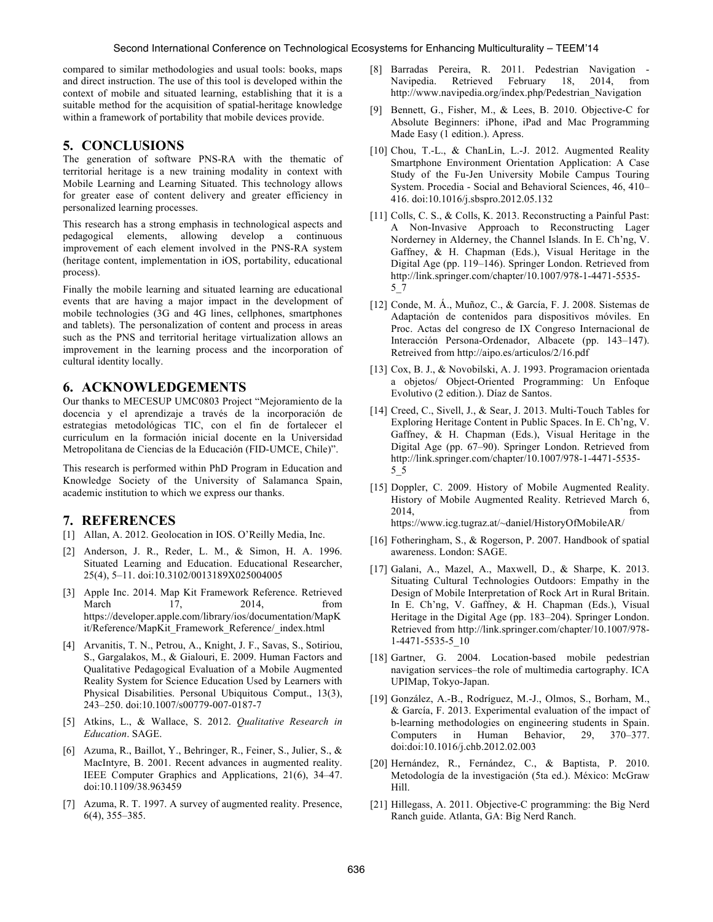#### Second International Conference on Technological Ecosystems for Enhancing Multiculturality – TEEM'14

compared to similar methodologies and usual tools: books, maps and direct instruction. The use of this tool is developed within the context of mobile and situated learning, establishing that it is a suitable method for the acquisition of spatial-heritage knowledge within a framework of portability that mobile devices provide.

#### **5. CONCLUSIONS**

The generation of software PNS-RA with the thematic of territorial heritage is a new training modality in context with Mobile Learning and Learning Situated. This technology allows for greater ease of content delivery and greater efficiency in personalized learning processes.

This research has a strong emphasis in technological aspects and pedagogical elements, allowing develop a continuous improvement of each element involved in the PNS-RA system (heritage content, implementation in iOS, portability, educational process).

Finally the mobile learning and situated learning are educational events that are having a major impact in the development of mobile technologies (3G and 4G lines, cellphones, smartphones and tablets). The personalization of content and process in areas such as the PNS and territorial heritage virtualization allows an improvement in the learning process and the incorporation of cultural identity locally.

#### **6. ACKNOWLEDGEMENTS**

Our thanks to MECESUP UMC0803 Project "Mejoramiento de la docencia y el aprendizaje a través de la incorporación de estrategias metodológicas TIC, con el fin de fortalecer el curriculum en la formación inicial docente en la Universidad Metropolitana de Ciencias de la Educación (FID-UMCE, Chile)".

This research is performed within PhD Program in Education and Knowledge Society of the University of Salamanca Spain, academic institution to which we express our thanks.

#### **7. REFERENCES**

- [1] Allan, A. 2012. Geolocation in IOS. O'Reilly Media, Inc.
- [2] Anderson, J. R., Reder, L. M., & Simon, H. A. 1996. Situated Learning and Education. Educational Researcher, 25(4), 5–11. doi:10.3102/0013189X025004005
- [3] Apple Inc. 2014. Map Kit Framework Reference. Retrieved March 17, 2014, from https://developer.apple.com/library/ios/documentation/MapK it/Reference/MapKit\_Framework\_Reference/\_index.html
- [4] Arvanitis, T. N., Petrou, A., Knight, J. F., Savas, S., Sotiriou, S., Gargalakos, M., & Gialouri, E. 2009. Human Factors and Qualitative Pedagogical Evaluation of a Mobile Augmented Reality System for Science Education Used by Learners with Physical Disabilities. Personal Ubiquitous Comput., 13(3), 243–250. doi:10.1007/s00779-007-0187-7
- [5] Atkins, L., & Wallace, S. 2012. *Qualitative Research in Education*. SAGE.
- [6] Azuma, R., Baillot, Y., Behringer, R., Feiner, S., Julier, S., & MacIntyre, B. 2001. Recent advances in augmented reality. IEEE Computer Graphics and Applications, 21(6), 34–47. doi:10.1109/38.963459
- [7] Azuma, R. T. 1997. A survey of augmented reality. Presence, 6(4), 355–385.
- [8] Barradas Pereira, R. 2011. Pedestrian Navigation Navipedia. Retrieved February 18, 2014, from http://www.navipedia.org/index.php/Pedestrian\_Navigation
- Bennett, G., Fisher, M., & Lees, B. 2010. Objective-C for Absolute Beginners: iPhone, iPad and Mac Programming Made Easy (1 edition.). Apress.
- [10] Chou, T.-L., & ChanLin, L.-J. 2012. Augmented Reality Smartphone Environment Orientation Application: A Case Study of the Fu-Jen University Mobile Campus Touring System. Procedia - Social and Behavioral Sciences, 46, 410– 416. doi:10.1016/j.sbspro.2012.05.132
- [11] Colls, C. S., & Colls, K. 2013. Reconstructing a Painful Past: A Non-Invasive Approach to Reconstructing Lager Norderney in Alderney, the Channel Islands. In E. Ch'ng, V. Gaffney, & H. Chapman (Eds.), Visual Heritage in the Digital Age (pp. 119–146). Springer London. Retrieved from http://link.springer.com/chapter/10.1007/978-1-4471-5535- 5\_7
- [12] Conde, M. Á., Muñoz, C., & García, F. J. 2008. Sistemas de Adaptación de contenidos para dispositivos móviles. En Proc. Actas del congreso de IX Congreso Internacional de Interacción Persona-Ordenador, Albacete (pp. 143–147). Retreived from http://aipo.es/articulos/2/16.pdf
- [13] Cox, B. J., & Novobilski, A. J. 1993. Programacion orientada a objetos/ Object-Oriented Programming: Un Enfoque Evolutivo (2 edition.). Díaz de Santos.
- [14] Creed, C., Sivell, J., & Sear, J. 2013. Multi-Touch Tables for Exploring Heritage Content in Public Spaces. In E. Ch'ng, V. Gaffney, & H. Chapman (Eds.), Visual Heritage in the Digital Age (pp. 67–90). Springer London. Retrieved from http://link.springer.com/chapter/10.1007/978-1-4471-5535- 5\_5
- [15] Doppler, C. 2009. History of Mobile Augmented Reality. History of Mobile Augmented Reality. Retrieved March 6, 2014, from https://www.icg.tugraz.at/~daniel/HistoryOfMobileAR/
- [16] Fotheringham, S., & Rogerson, P. 2007. Handbook of spatial awareness. London: SAGE.
- [17] Galani, A., Mazel, A., Maxwell, D., & Sharpe, K. 2013. Situating Cultural Technologies Outdoors: Empathy in the Design of Mobile Interpretation of Rock Art in Rural Britain. In E. Ch'ng, V. Gaffney, & H. Chapman (Eds.), Visual Heritage in the Digital Age (pp. 183–204). Springer London. Retrieved from http://link.springer.com/chapter/10.1007/978- 1-4471-5535-5\_10
- [18] Gartner, G. 2004. Location-based mobile pedestrian navigation services–the role of multimedia cartography. ICA UPIMap, Tokyo-Japan.
- [19] González, A.-B., Rodríguez, M.-J., Olmos, S., Borham, M., & García, F. 2013. Experimental evaluation of the impact of b-learning methodologies on engineering students in Spain. Computers in Human Behavior, 29, 370–377. doi:doi:10.1016/j.chb.2012.02.003
- [20] Hernández, R., Fernández, C., & Baptista, P. 2010. Metodología de la investigación (5ta ed.). México: McGraw Hill.
- [21] Hillegass, A. 2011. Objective-C programming: the Big Nerd Ranch guide. Atlanta, GA: Big Nerd Ranch.